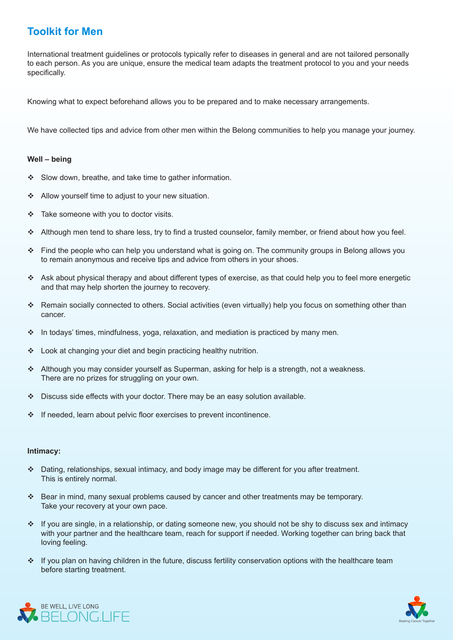## **Toolkit for Men**

International treatment guidelines or protocols typically refer to diseases in general and are not tailored personally to each person. As you are unique, ensure the medical team adapts the treatment protocol to you and your needs specifically.

Knowing what to expect beforehand allows you to be prepared and to make necessary arrangements.

We have collected tips and advice from other men within the Belong communities to help you manage your journey.

## Well - being

- $\div$  Slow down, breathe, and take time to gather information.
- $\cdot$  Allow yourself time to adjust to your new situation.
- \* Take someone with you to doctor visits.
- \* Although men tend to share less, try to find a trusted counselor, family member, or friend about how you feel.
- $\div$  Find the people who can help you understand what is going on. The community groups in Belong allows you to remain anonymous and receive tips and advice from others in your shoes.
- Ask about physical therapy and about different types of exercise, as that could help you to feel more energetic and that may help shorten the journey to recovery.
- \* Remain socially connected to others. Social activities (even virtually) help you focus on something other than .cancer
- In todays' times, mindfulness, yoga, relaxation, and mediation is practiced by many men.
- $\cdot$  Look at changing your diet and begin practicing healthy nutrition.
- Although you may consider yourself as Superman, asking for help is a strength, not a weakness. There are no prizes for struggling on your own.
- $\cdot$  Discuss side effects with your doctor. There may be an easy solution available.
- $\cdot$  If needed, learn about pelvic floor exercises to prevent incontinence.

## **:Intimacy**

- \* Dating, relationships, sexual intimacy, and body image may be different for you after treatment. This is entirely normal.
- $\div$  Bear in mind, many sexual problems caused by cancer and other treatments may be temporary. Take your recovery at your own pace.
- If you are single, in a relationship, or dating someone new, you should not be shy to discuss sex and intimacy with your partner and the healthcare team, reach for support if needed. Working together can bring back that loving feeling.
- \* If you plan on having children in the future, discuss fertility conservation options with the healthcare team before starting treatment.